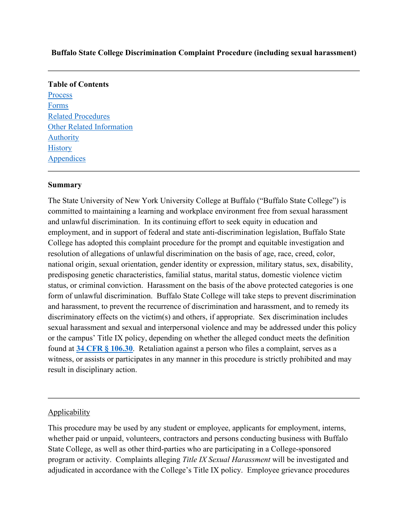#### **Buffalo State College Discrimination Complaint Procedure (including sexual harassment)**

# **Table of Contents** [Process](https://www.suny.edu/sunypp/documents.cfm?doc_id=451#Process)  [Forms](https://www.suny.edu/sunypp/documents.cfm?doc_id=451#forms)  [Related Procedures](https://www.suny.edu/sunypp/documents.cfm?doc_id=451#related)  [Other Related Information](https://www.suny.edu/sunypp/documents.cfm?doc_id=451#other)  [Authority](https://www.suny.edu/sunypp/documents.cfm?doc_id=451#authority)  **History Appendices**

#### **Summary**

 The State University of New York University College at Buffalo ("Buffalo State College") is and unlawful discrimination. In its continuing effort to seek equity in education and status, or criminal conviction. Harassment on the basis of the above protected categories is one discriminatory effects on the victim(s) and others, if appropriate. Sex discrimination includes sexual harassment and sexual and interpersonal violence and may be addressed under this policy found at **[34 CFR § 106.30](https://ecfr.federalregister.gov/current/title-34/subtitle-B/chapter-I/part-106/subpart-D)**. Retaliation against a person who files a complaint, serves as a result in disciplinary action.<br>
<u>Applicability</u> committed to maintaining a learning and workplace environment free from sexual harassment employment, and in support of federal and state anti-discrimination legislation, Buffalo State College has adopted this complaint procedure for the prompt and equitable investigation and resolution of allegations of unlawful discrimination on the basis of age, race, creed, color, national origin, sexual orientation, gender identity or expression, military status, sex, disability, predisposing genetic characteristics, familial status, marital status, domestic violence victim form of unlawful discrimination. Buffalo State College will take steps to prevent discrimination and harassment, to prevent the recurrence of discrimination and harassment, and to remedy its or the campus' Title IX policy, depending on whether the alleged conduct meets the definition witness, or assists or participates in any manner in this procedure is strictly prohibited and may

 program or activity. Complaints alleging *Title IX Sexual Harassment* will be investigated and adjudicated in accordance with the College's Title IX policy. Employee grievance procedures This procedure may be used by any student or employee, applicants for employment, interns, whether paid or unpaid, volunteers, contractors and persons conducting business with Buffalo State College, as well as other third-parties who are participating in a College-sponsored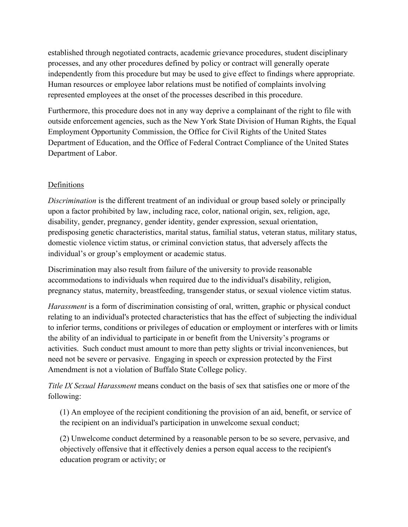processes, and any other procedures defined by policy or contract will generally operate independently from this procedure but may be used to give effect to findings where appropriate. established through negotiated contracts, academic grievance procedures, student disciplinary Human resources or employee labor relations must be notified of complaints involving represented employees at the onset of the processes described in this procedure.

 Furthermore, this procedure does not in any way deprive a complainant of the right to file with outside enforcement agencies, such as the New York State Division of Human Rights, the Equal Employment Opportunity Commission, the Office for Civil Rights of the United States Department of Education, and the Office of Federal Contract Compliance of the United States Department of Labor.

## Definitions

 individual's or group's employment or academic status. *Discrimination* is the different treatment of an individual or group based solely or principally upon a factor prohibited by law, including race, color, national origin, sex, religion, age, disability, gender, pregnancy, gender identity, gender expression, sexual orientation, predisposing genetic characteristics, marital status, familial status, veteran status, military status, domestic violence victim status, or criminal conviction status, that adversely affects the

Discrimination may also result from failure of the university to provide reasonable accommodations to individuals when required due to the individual's disability, religion, pregnancy status, maternity, breastfeeding, transgender status, or sexual violence victim status.

 to inferior terms, conditions or privileges of education or employment or interferes with or limits Amendment is not a violation of Buffalo State College policy. *Harassment* is a form of discrimination consisting of oral, written, graphic or physical conduct relating to an individual's protected characteristics that has the effect of subjecting the individual the ability of an individual to participate in or benefit from the University's programs or activities. Such conduct must amount to more than petty slights or trivial inconveniences, but need not be severe or pervasive. Engaging in speech or expression protected by the First

*Title IX Sexual Harassment* means conduct on the basis of sex that satisfies one or more of the following:

(1) An employee of the recipient conditioning the provision of an aid, benefit, or service of the recipient on an individual's participation in unwelcome sexual conduct;

(2) Unwelcome conduct determined by a reasonable person to be so severe, pervasive, and objectively offensive that it effectively denies a person equal access to the recipient's education program or activity; or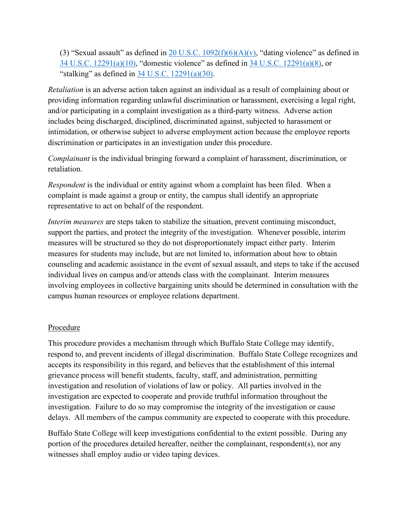(3) "Sexual assault" as defined in 20 U.S.C.  $1092(f)(6)(A)(v)$ , "dating violence" as defined in [34 U.S.C. 12291\(a\)\(10\),](https://www.law.cornell.edu/uscode/text/34/12291) "domestic violence" as defined in [34 U.S.C. 12291\(a\)\(8\),](https://www.law.cornell.edu/uscode/text/34/12291) or "stalking" as defined in  $34$  U.S.C. 12291(a)(30).

*Retaliation* is an adverse action taken against an individual as a result of complaining about or providing information regarding unlawful discrimination or harassment, exercising a legal right, and/or participating in a complaint investigation as a third-party witness. Adverse action includes being discharged, disciplined, discriminated against, subjected to harassment or intimidation, or otherwise subject to adverse employment action because the employee reports discrimination or participates in an investigation under this procedure.

*Complainant* is the individual bringing forward a complaint of harassment, discrimination, or retaliation.

 *Respondent* is the individual or entity against whom a complaint has been filed. When a complaint is made against a group or entity, the campus shall identify an appropriate representative to act on behalf of the respondent.

 *Interim measures* are steps taken to stabilize the situation, prevent continuing misconduct, support the parties, and protect the integrity of the investigation. Whenever possible, interim measures will be structured so they do not disproportionately impact either party. Interim individual lives on campus and/or attends class with the complainant. Interim measures campus human resources or employee relations department.<br>Procedure measures for students may include, but are not limited to, information about how to obtain counseling and academic assistance in the event of sexual assault, and steps to take if the accused involving employees in collective bargaining units should be determined in consultation with the

This procedure provides a mechanism through which Buffalo State College may identify, respond to, and prevent incidents of illegal discrimination. Buffalo State College recognizes and accepts its responsibility in this regard, and believes that the establishment of this internal grievance process will benefit students, faculty, staff, and administration, permitting investigation and resolution of violations of law or policy. All parties involved in the investigation are expected to cooperate and provide truthful information throughout the investigation. Failure to do so may compromise the integrity of the investigation or cause delays. All members of the campus community are expected to cooperate with this procedure.

 Buffalo State College will keep investigations confidential to the extent possible. During any portion of the procedures detailed hereafter, neither the complainant, respondent(s), nor any witnesses shall employ audio or video taping devices.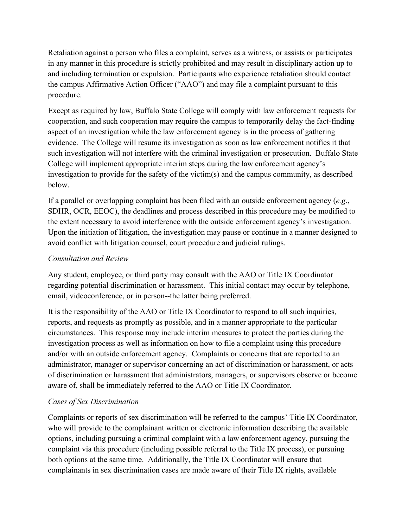and including termination or expulsion. Participants who experience retaliation should contact the campus Affirmative Action Officer ("AAO") and may file a complaint pursuant to this Retaliation against a person who files a complaint, serves as a witness, or assists or participates in any manner in this procedure is strictly prohibited and may result in disciplinary action up to procedure.

 evidence. The College will resume its investigation as soon as law enforcement notifies it that such investigation will not interfere with the criminal investigation or prosecution. Buffalo State Except as required by law, Buffalo State College will comply with law enforcement requests for cooperation, and such cooperation may require the campus to temporarily delay the fact-finding aspect of an investigation while the law enforcement agency is in the process of gathering College will implement appropriate interim steps during the law enforcement agency's investigation to provide for the safety of the victim(s) and the campus community, as described below.

 Upon the initiation of litigation, the investigation may pause or continue in a manner designed to If a parallel or overlapping complaint has been filed with an outside enforcement agency (*e.g*., SDHR, OCR, EEOC), the deadlines and process described in this procedure may be modified to the extent necessary to avoid interference with the outside enforcement agency's investigation. avoid conflict with litigation counsel, court procedure and judicial rulings.

## *Consultation and Review*

 Any student, employee, or third party may consult with the AAO or Title IX Coordinator regarding potential discrimination or harassment. This initial contact may occur by telephone, email, videoconference, or in person--the latter being preferred.

 circumstances. This response may include interim measures to protect the parties during the administrator, manager or supervisor concerning an act of discrimination or harassment, or acts aware of, shall be immediately referred to the AAO or Title IX Coordinator. It is the responsibility of the AAO or Title IX Coordinator to respond to all such inquiries, reports, and requests as promptly as possible, and in a manner appropriate to the particular investigation process as well as information on how to file a complaint using this procedure and/or with an outside enforcement agency. Complaints or concerns that are reported to an of discrimination or harassment that administrators, managers, or supervisors observe or become

# *Cases of Sex Discrimination*

Complaints or reports of sex discrimination will be referred to the campus' Title IX Coordinator, who will provide to the complainant written or electronic information describing the available options, including pursuing a criminal complaint with a law enforcement agency, pursuing the complaint via this procedure (including possible referral to the Title IX process), or pursuing both options at the same time. Additionally, the Title IX Coordinator will ensure that complainants in sex discrimination cases are made aware of their Title IX rights, available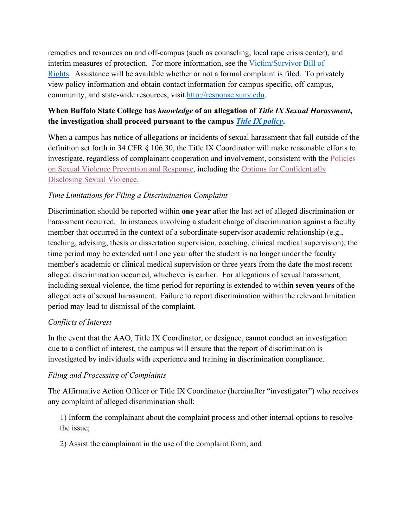interim measures of protection. For more information, see the Victim/Survivor Bill of [Rights.](http://system.suny.edu/sexual-violence-prevention-workgroup/policies/bill-of-rights/) Assistance will be available whether or not a formal complaint is filed. To privately remedies and resources on and off-campus (such as counseling, local rape crisis center), and view policy information and obtain contact information for campus-specific, off-campus, community, and state-wide resources, visit [http://response.suny.edu.](http://response.suny.edu/)

# **When Buffalo State College has** *knowledge* **of an allegation of** *Title IX Sexual Harassment***, the investigation shall proceed pursuant to the campus** *[Title IX policy](https://equity.buffalostate.edu/title-ix-compliance)***.**

 [Disclosing Sexual Violence.](https://police.buffalostate.edu/sexual-assault-prevention) When a campus has notice of allegations or incidents of sexual harassment that fall outside of the definition set forth in 34 CFR § 106.30, the Title IX Coordinator will make reasonable efforts to investigate, regardless of complainant cooperation and involvement, consistent with the [Policies](http://equity.buffalostate.edu/sexual-violence-response-policy)  [on Sexual Violence Prevention and Response,](http://equity.buffalostate.edu/sexual-violence-response-policy) including the [Options for Confidentially](https://police.buffalostate.edu/sexual-assault-prevention) 

# *Time Limitations for Filing a Discrimination Complaint*

 period may lead to dismissal of the complaint. Discrimination should be reported within **one year** after the last act of alleged discrimination or harassment occurred. In instances involving a student charge of discrimination against a faculty member that occurred in the context of a subordinate-supervisor academic relationship (e.g., teaching, advising, thesis or dissertation supervision, coaching, clinical medical supervision), the time period may be extended until one year after the student is no longer under the faculty member's academic or clinical medical supervision or three years from the date the most recent alleged discrimination occurred, whichever is earlier. For allegations of sexual harassment, including sexual violence, the time period for reporting is extended to within **seven years** of the alleged acts of sexual harassment. Failure to report discrimination within the relevant limitation

# *Conflicts of Interest*

In the event that the AAO, Title IX Coordinator, or designee, cannot conduct an investigation due to a conflict of interest, the campus will ensure that the report of discrimination is investigated by individuals with experience and training in discrimination compliance.

# *Filing and Processing of Complaints*

 The Affirmative Action Officer or Title IX Coordinator (hereinafter "investigator") who receives any complaint of alleged discrimination shall:

 1) Inform the complainant about the complaint process and other internal options to resolve the issue;

2) Assist the complainant in the use of the complaint form; and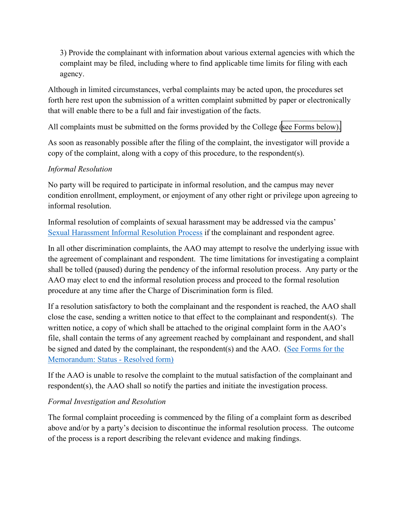3) Provide the complainant with information about various external agencies with which the complaint may be filed, including where to find applicable time limits for filing with each agency.

that will enable there to be a full and fair investigation of the facts. Although in limited circumstances, verbal complaints may be acted upon, the procedures set forth here rest upon the submission of a written complaint submitted by paper or electronically

All complaints must be submitted on the forms provided by the College (see Forms below).

 As soon as reasonably possible after the filing of the complaint, the investigator will provide a copy of the complaint, along with a copy of this procedure, to the respondent(s).

## *Informal Resolution*

No party will be required to participate in informal resolution, and the campus may never condition enrollment, employment, or enjoyment of any other right or privilege upon agreeing to informal resolution.

Informal resolution of complaints of sexual harassment may be addressed via the campus' [Sexual Harassment Informal Resolution Process](file://itorg/ubfs/myfiles/s/e/sethgilb/Windows/Desktop/Helpful%20Doc-Forms/Model-Informal-Resolution-Policy-1.docx) if the complainant and respondent agree.

In all other discrimination complaints, the AAO may attempt to resolve the underlying issue with the agreement of complainant and respondent. The time limitations for investigating a complaint shall be tolled (paused) during the pendency of the informal resolution process. Any party or the AAO may elect to end the informal resolution process and proceed to the formal resolution procedure at any time after the Charge of Discrimination form is filed.

If a resolution satisfactory to both the complainant and the respondent is reached, the AAO shall close the case, sending a written notice to that effect to the complainant and respondent(s). The written notice, a copy of which shall be attached to the original complaint form in the AAO's file, shall contain the terms of any agreement reached by complainant and respondent, and shall be signed and dated by the complainant, the respondent(s) and the AAO. (See Forms for the [Memorandum: Status - Resolved form\)](https://www.suny.edu/sunypp/lookup.cfm?lookup_id=242) 

If the AAO is unable to resolve the complaint to the mutual satisfaction of the complainant and respondent(s), the AAO shall so notify the parties and initiate the investigation process.

### *Formal Investigation and Resolution*

The formal complaint proceeding is commenced by the filing of a complaint form as described above and/or by a party's decision to discontinue the informal resolution process. The outcome of the process is a report describing the relevant evidence and making findings.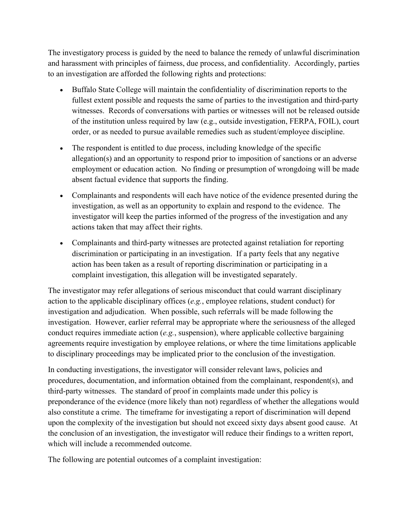The investigatory process is guided by the need to balance the remedy of unlawful discrimination and harassment with principles of fairness, due process, and confidentiality. Accordingly, parties to an investigation are afforded the following rights and protections:

- • Buffalo State College will maintain the confidentiality of discrimination reports to the witnesses. Records of conversations with parties or witnesses will not be released outside fullest extent possible and requests the same of parties to the investigation and third-party of the institution unless required by law (e.g., outside investigation, FERPA, FOIL), court order, or as needed to pursue available remedies such as student/employee discipline.
- The respondent is entitled to due process, including knowledge of the specific allegation(s) and an opportunity to respond prior to imposition of sanctions or an adverse employment or education action. No finding or presumption of wrongdoing will be made absent factual evidence that supports the finding.
- investigation, as well as an opportunity to explain and respond to the evidence. The actions taken that may affect their rights. • Complainants and respondents will each have notice of the evidence presented during the investigator will keep the parties informed of the progress of the investigation and any
- Complainants and third-party witnesses are protected against retaliation for reporting discrimination or participating in an investigation. If a party feels that any negative action has been taken as a result of reporting discrimination or participating in a complaint investigation, this allegation will be investigated separately.

 action to the applicable disciplinary offices (*e.g.*, employee relations, student conduct) for investigation and adjudication. When possible, such referrals will be made following the investigation. However, earlier referral may be appropriate where the seriousness of the alleged The investigator may refer allegations of serious misconduct that could warrant disciplinary conduct requires immediate action (*e.g.*, suspension), where applicable collective bargaining agreements require investigation by employee relations, or where the time limitations applicable to disciplinary proceedings may be implicated prior to the conclusion of the investigation.

 which will include a recommended outcome. In conducting investigations, the investigator will consider relevant laws, policies and procedures, documentation, and information obtained from the complainant, respondent(s), and third-party witnesses. The standard of proof in complaints made under this policy is preponderance of the evidence (more likely than not) regardless of whether the allegations would also constitute a crime. The timeframe for investigating a report of discrimination will depend upon the complexity of the investigation but should not exceed sixty days absent good cause. At the conclusion of an investigation, the investigator will reduce their findings to a written report,

The following are potential outcomes of a complaint investigation: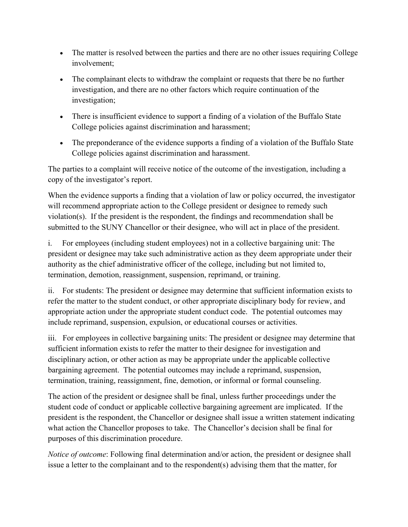- The matter is resolved between the parties and there are no other issues requiring College involvement;
- The complainant elects to withdraw the complaint or requests that there be no further investigation, and there are no other factors which require continuation of the investigation;
- There is insufficient evidence to support a finding of a violation of the Buffalo State College policies against discrimination and harassment;
- The preponderance of the evidence supports a finding of a violation of the Buffalo State College policies against discrimination and harassment.

The parties to a complaint will receive notice of the outcome of the investigation, including a copy of the investigator's report.

When the evidence supports a finding that a violation of law or policy occurred, the investigator will recommend appropriate action to the College president or designee to remedy such violation(s). If the president is the respondent, the findings and recommendation shall be submitted to the SUNY Chancellor or their designee, who will act in place of the president.

 $\mathbf{i}$ . president or designee may take such administrative action as they deem appropriate under their termination, demotion, reassignment, suspension, reprimand, or training. For employees (including student employees) not in a collective bargaining unit: The authority as the chief administrative officer of the college, including but not limited to,

termination, demotion, reassignment, suspension, reprimand, or training.<br>ii. For students: The president or designee may determine that sufficient information exists to appropriate action under the appropriate student conduct code. The potential outcomes may include reprimand, suspension, expulsion, or educational courses or activities. refer the matter to the student conduct, or other appropriate disciplinary body for review, and

 iii. For employees in collective bargaining units: The president or designee may determine that sufficient information exists to refer the matter to their designee for investigation and disciplinary action, or other action as may be appropriate under the applicable collective bargaining agreement. The potential outcomes may include a reprimand, suspension, termination, training, reassignment, fine, demotion, or informal or formal counseling.

 The action of the president or designee shall be final, unless further proceedings under the what action the Chancellor proposes to take. The Chancellor's decision shall be final for student code of conduct or applicable collective bargaining agreement are implicated. If the president is the respondent, the Chancellor or designee shall issue a written statement indicating purposes of this discrimination procedure.

*Notice of outcome*: Following final determination and/or action, the president or designee shall issue a letter to the complainant and to the respondent(s) advising them that the matter, for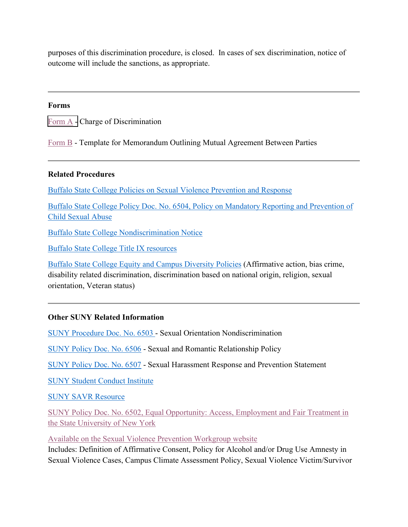purposes of this discrimination procedure, is closed. In cases of sex discrimination, notice of outcome will include the sanctions, as appropriate.

#### **Forms**

Form A - Charge of Discrimination

[Form B](https://www.suny.edu/sunypp/lookup.cfm?lookup_id=242) - Template for Memorandum Outlining Mutual Agreement Between Parties

#### **Related Procedures**

[Buffalo State College Policies on Sexual Violence Prevention and Response](https://equity.buffalostate.edu/sexual-violence-response-policy) 

[Buffalo State College Policy Doc. No. 6504, Policy on Mandatory Reporting and Prevention of](https://adminpolicylibrary.buffalostate.edu/sites/adminpolicylibrary.buffalostate.edu/files/uploads/Documents/Child%20Protection%20Policy%20Library%2012-8-16.pdf)  [Child Sexual Abuse](https://adminpolicylibrary.buffalostate.edu/sites/adminpolicylibrary.buffalostate.edu/files/uploads/Documents/Child%20Protection%20Policy%20Library%2012-8-16.pdf) 

[Buffalo State College Nondiscrimination Notice](https://equity.buffalostate.edu/nondiscrimination-notice) 

[Buffalo State College Title IX resources](https://equity.buffalostate.edu/title-ix-compliance#buffalostateresources) 

[Buffalo State College Equity and Campus Diversity Policies](https://equity.buffalostate.edu/policies) (Affirmative action, bias crime, disability related discrimination, discrimination based on national origin, religion, sexual orientation, Veteran status)

#### **Other SUNY Related Information**

[SUNY Procedure Doc. No. 6503 -](https://www.suny.edu/sunypp/lookup.cfm?lookup_id=534) Sexual Orientation Nondiscrimination

[SUNY Policy Doc. No. 6506](https://www.suny.edu/sunypp/lookup.cfm?lookup_id=877) - Sexual and Romantic Relationship Policy

[SUNY Policy Doc. No. 6507](https://www.suny.edu/sunypp/lookup.cfm?lookup_id=878) - Sexual Harassment Response and Prevention Statement

[SUNY Student Conduct Institute](https://system.suny.edu/sci/) [SUNY SAVR Resource](https://www.suny.edu/violence-response/) 

[SUNY Policy Doc. No. 6502, Equal Opportunity: Access, Employment and Fair Treatment in](http://www.suny.edu/sunypp/documents.cfm?doc_id=533)  [the State University of New York](http://www.suny.edu/sunypp/documents.cfm?doc_id=533) 

[Available on the Sexual Violence Prevention Workgroup website](http://system.suny.edu/sexual-violence-prevention-workgroup/) 

Includes: Definition of Affirmative Consent, Policy for Alcohol and/or Drug Use Amnesty in Sexual Violence Cases, Campus Climate Assessment Policy, Sexual Violence Victim/Survivor